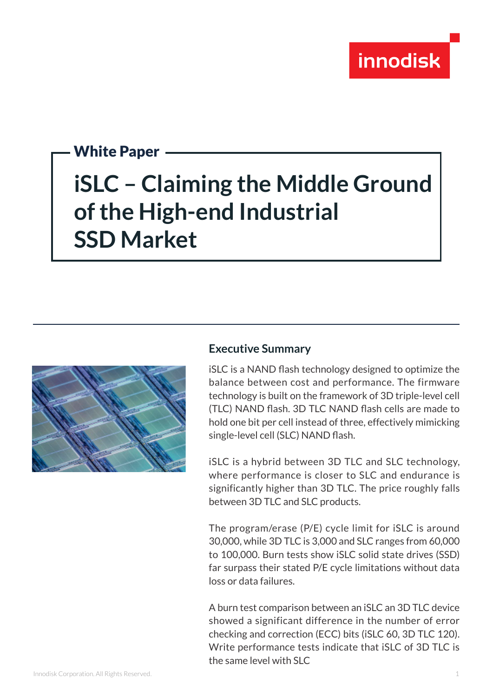

## White Paper

# **iSLC – Claiming the Middle Ground of the High-end Industrial SSD Market**



### **Executive Summary**

iSLC is a NAND flash technology designed to optimize the balance between cost and performance. The firmware technology is built on the framework of 3D triple-level cell (TLC) NAND flash. 3D TLC NAND flash cells are made to hold one bit per cell instead of three, effectively mimicking single-level cell (SLC) NAND flash.

iSLC is a hybrid between 3D TLC and SLC technology, where performance is closer to SLC and endurance is significantly higher than 3D TLC. The price roughly falls between 3D TLC and SLC products.

The program/erase (P/E) cycle limit for iSLC is around 30,000, while 3D TLC is 3,000 and SLC ranges from 60,000 to 100,000. Burn tests show iSLC solid state drives (SSD) far surpass their stated P/E cycle limitations without data loss or data failures.

A burn test comparison between an iSLC an 3D TLC device showed a significant difference in the number of error checking and correction (ECC) bits (iSLC 60, 3D TLC 120). Write performance tests indicate that iSLC of 3D TLC is the same level with SLC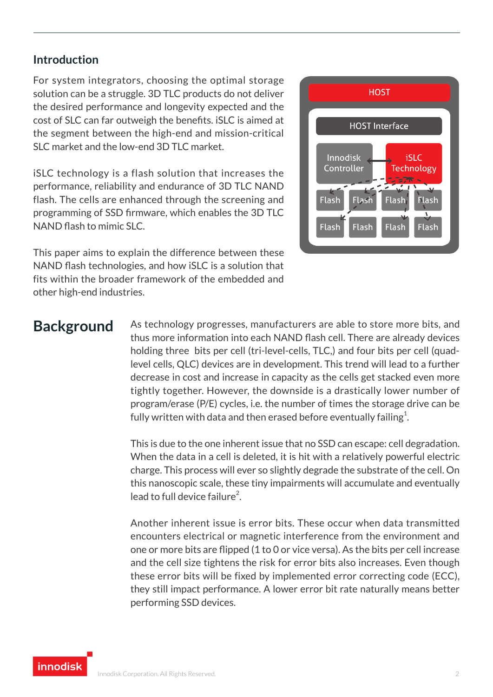### **Introduction**

For system integrators, choosing the optimal storage solution can be a struggle. 3D TLC products do not deliver the desired performance and longevity expected and the cost of SLC can far outweigh the benefits. iSLC is aimed at the segment between the high-end and mission-critical SLC market and the low-end 3D TLC market.

iSLC technology is a flash solution that increases the performance, reliability and endurance of 3D TLC NAND flash. The cells are enhanced through the screening and programming of SSD firmware, which enables the 3D TLC NAND flash to mimic SLC.

This paper aims to explain the difference between these NAND flash technologies, and how iSLC is a solution that fits within the broader framework of the embedded and other high-end industries.



**Background** As technology progresses, manufacturers are able to store more bits, and thus more information into each NAND flash cell. There are already devices holding three bits per cell (tri-level-cells, TLC,) and four bits per cell (quadlevel cells, QLC) devices are in development. This trend will lead to a further decrease in cost and increase in capacity as the cells get stacked even more tightly together. However, the downside is a drastically lower number of program/erase (P/E) cycles, i.e. the number of times the storage drive can be fully written with data and then erased before eventually failing $^1$ .

> This is due to the one inherent issue that no SSD can escape: cell degradation. When the data in a cell is deleted, it is hit with a relatively powerful electric charge. This process will ever so slightly degrade the substrate of the cell. On this nanoscopic scale, these tiny impairments will accumulate and eventually lead to full device failure<sup>2</sup>.

> Another inherent issue is error bits. These occur when data transmitted encounters electrical or magnetic interference from the environment and one or more bits are flipped (1 to 0 or vice versa). As the bits per cell increase and the cell size tightens the risk for error bits also increases. Even though these error bits will be fixed by implemented error correcting code (ECC), they still impact performance. A lower error bit rate naturally means better performing SSD devices.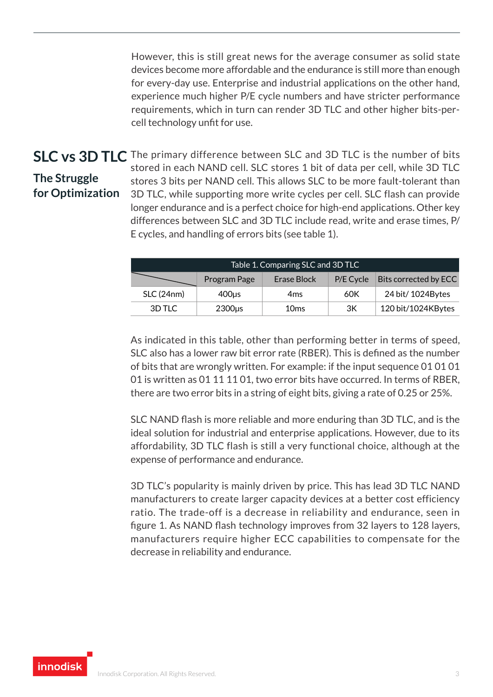However, this is still great news for the average consumer as solid state devices become more affordable and the endurance is still more than enough for every-day use. Enterprise and industrial applications on the other hand, experience much higher P/E cycle numbers and have stricter performance requirements, which in turn can render 3D TLC and other higher bits-percell technology unfit for use.

# **The Struggle for Optimization**

**SLC vs 3D TLC** The primary difference between SLC and 3D TLC is the number of bits stored in each NAND cell. SLC stores 1 bit of data per cell, while 3D TLC stores 3 bits per NAND cell. This allows SLC to be more fault-tolerant than 3D TLC, while supporting more write cycles per cell. SLC flash can provide longer endurance and is a perfect choice for high-end applications. Other key differences between SLC and 3D TLC include read, write and erase times, P/ E cycles, and handling of errors bits (see table 1).

| Table 1. Comparing SLC and 3D TLC |              |                  |           |                       |  |  |
|-----------------------------------|--------------|------------------|-----------|-----------------------|--|--|
|                                   | Program Page | Erase Block      | P/E Cycle | Bits corrected by ECC |  |  |
| SLC (24nm)                        | 400us        | 4ms              | 60K       | 24 bit/ 1024 Bytes    |  |  |
| 3D TLC                            | $2300\mu s$  | 10 <sub>ms</sub> | ЗК        | 120 bit/1024KBytes    |  |  |

As indicated in this table, other than performing better in terms of speed, SLC also has a lower raw bit error rate (RBER). This is defined as the number of bits that are wrongly written. For example: if the input sequence 01 01 01 01 is written as 01 11 11 01, two error bits have occurred. In terms of RBER, there are two error bits in a string of eight bits, giving a rate of 0.25 or 25%.

SLC NAND flash is more reliable and more enduring than 3D TLC, and is the ideal solution for industrial and enterprise applications. However, due to its affordability, 3D TLC flash is still a very functional choice, although at the expense of performance and endurance.

3D TLC's popularity is mainly driven by price. This has lead 3D TLC NAND manufacturers to create larger capacity devices at a better cost efficiency ratio. The trade-off is a decrease in reliability and endurance, seen in figure 1. As NAND flash technology improves from 32 layers to 128 layers, manufacturers require higher ECC capabilities to compensate for the decrease in reliability and endurance.

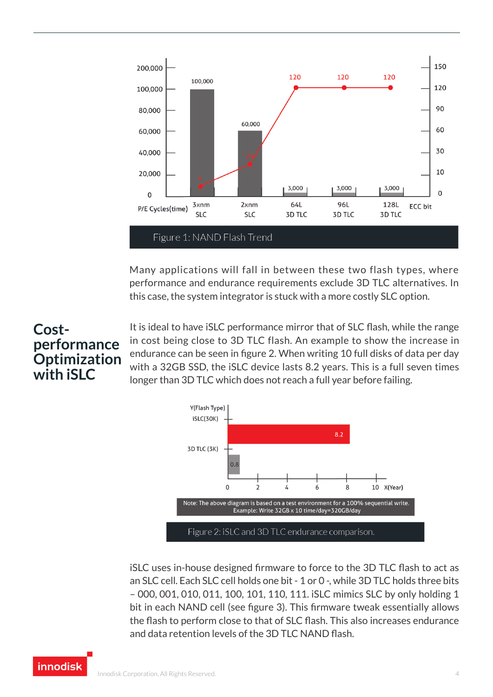

Many applications will fall in between these two flash types, where performance and endurance requirements exclude 3D TLC alternatives. In this case, the system integrator is stuck with a more costly SLC option.

## **Costperformance Optimization with iSLC**

It is ideal to have iSLC performance mirror that of SLC flash, while the range in cost being close to 3D TLC flash. An example to show the increase in endurance can be seen in figure 2. When writing 10 full disks of data per day with a 32GB SSD, the iSLC device lasts 8.2 years. This is a full seven times longer than 3D TLC which does not reach a full year before failing.



iSLC uses in-house designed firmware to force to the 3D TLC flash to act as an SLC cell. Each SLC cell holds one bit - 1 or 0 -, while 3D TLC holds three bits – 000, 001, 010, 011, 100, 101, 110, 111. iSLC mimics SLC by only holding 1 bit in each NAND cell (see figure 3). This firmware tweak essentially allows the flash to perform close to that of SLC flash. This also increases endurance and data retention levels of the 3D TLC NAND flash.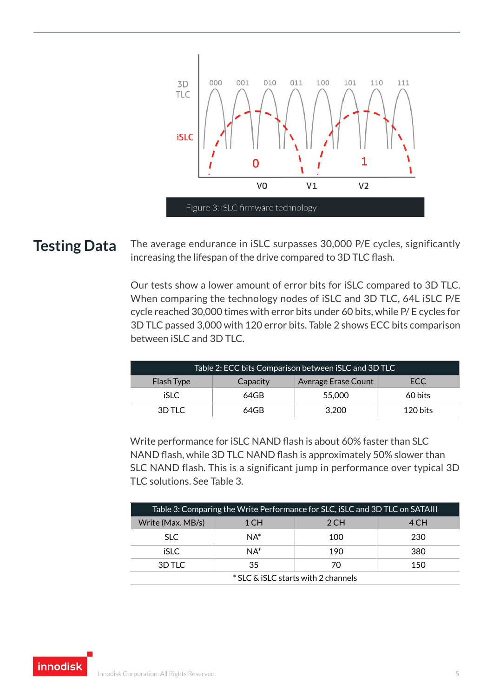

**Testing Data** The average endurance in iSLC surpasses 30,000 P/E cycles, significantly increasing the lifespan of the drive compared to 3D TLC flash.

> Our tests show a lower amount of error bits for iSLC compared to 3D TLC. When comparing the technology nodes of iSLC and 3D TLC, 64L iSLC P/E cycle reached 30,000 times with error bits under 60 bits, while P/ E cycles for 3D TLC passed 3,000 with 120 error bits. Table 2 shows ECC bits comparison between iSLC and 3D TLC.

| Table 2: ECC bits Comparison between iSLC and 3D TLC |          |                     |          |  |  |
|------------------------------------------------------|----------|---------------------|----------|--|--|
| <b>Flash Type</b>                                    | Capacity | Average Erase Count | ECC      |  |  |
| iSLC.                                                | $64$ GB  | 55,000              | 60 bits  |  |  |
| 3D TLC                                               | 64GB     | 3.200               | 120 bits |  |  |

Write performance for iSLC NAND flash is about 60% faster than SLC NAND flash, while 3D TLC NAND flash is approximately 50% slower than SLC NAND flash. This is a significant jump in performance over typical 3D TLC solutions. See Table 3.

| Table 3: Comparing the Write Performance for SLC, iSLC and 3D TLC on SATAIII |        |      |      |  |  |
|------------------------------------------------------------------------------|--------|------|------|--|--|
| Write (Max. MB/s)                                                            | 1 CH   | 2 CH | 4 CH |  |  |
| SLC.                                                                         | $NA^*$ | 100  | 230  |  |  |
| iSLC.                                                                        | $NA^*$ | 190  | 380  |  |  |
| 3D TLC                                                                       | 35     | 70   | 150  |  |  |
| * SLC & iSLC starts with 2 channels                                          |        |      |      |  |  |

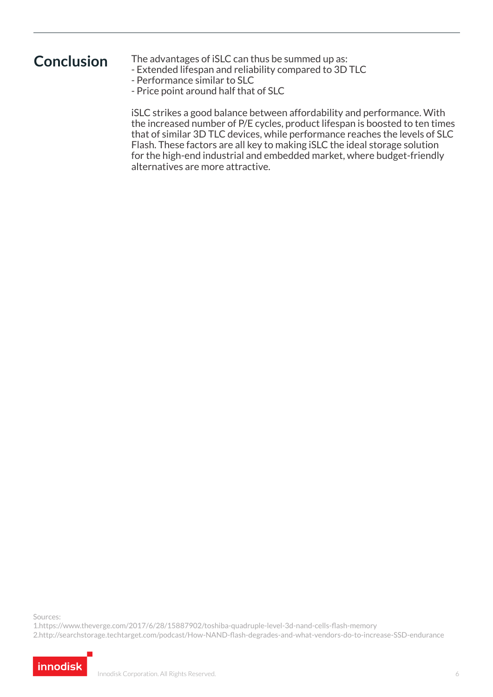**Conclusion** The advantages of iSLC can thus be summed up as:

- Extended lifespan and reliability compared to 3D TLC
- Performance similar to SLC
- Price point around half that of SLC

iSLC strikes a good balance between affordability and performance. With the increased number of P/E cycles, product lifespan is boosted to ten times that of similar 3D TLC devices, while performance reaches the levels of SLC Flash. These factors are all key to making iSLC the ideal storage solution for the high-end industrial and embedded market, where budget-friendly alternatives are more attractive.

Sources:

1.https://www.theverge.com/2017/6/28/15887902/toshiba-quadruple-level-3d-nand-cells-flash-memory 2.http://searchstorage.techtarget.com/podcast/How-NAND-flash-degrades-and-what-vendors-do-to-increase-SSD-endurance